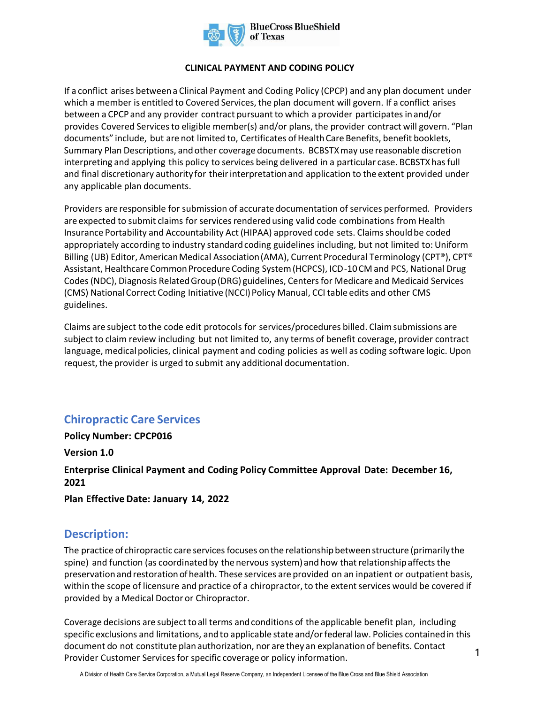

## **CLINICAL PAYMENT AND CODING POLICY**

If a conflict arises between a Clinical Payment and Coding Policy (CPCP) and any plan document under which a member is entitled to Covered Services, the plan document will govern. If a conflict arises between a CPCP and any provider contract pursuant to which a provider participates in and/or provides Covered Services to eligible member(s) and/or plans, the provider contract will govern. "Plan documents" include, but are not limited to, Certificates of Health Care Benefits, benefit booklets, Summary Plan Descriptions, and other coverage documents. BCBSTXmay use reasonable discretion interpreting and applying this policy to services being delivered in a particular case. BCBSTXhas full and final discretionary authority for their interpretation and application to the extent provided under any applicable plan documents.

Providers are responsible for submission of accurate documentation of services performed. Providers are expected to submit claims for services rendered using valid code combinations from Health Insurance Portability and Accountability Act (HIPAA) approved code sets. Claims should be coded appropriately according to industry standard coding guidelines including, but not limited to: Uniform Billing (UB) Editor, American Medical Association (AMA), Current Procedural Terminology (CPT®), CPT® Assistant, Healthcare Common Procedure Coding System (HCPCS), ICD-10 CM and PCS, National Drug Codes (NDC), Diagnosis Related Group (DRG) guidelines, Centers for Medicare and Medicaid Services (CMS) National Correct Coding Initiative (NCCI) Policy Manual, CCI table edits and other CMS guidelines.

Claims are subject to the code edit protocols for services/procedures billed. Claim submissions are subject to claim review including but not limited to, any terms of benefit coverage, provider contract language, medical policies, clinical payment and coding policies as well as coding software logic. Upon request, the provider is urged to submit any additional documentation.

# **Chiropractic Care Services**

**Policy Number: CPCP016** 

**Version 1.0** 

**Enterprise Clinical Payment and Coding Policy Committee Approval Date: December 16, 2021** 

**Plan Effective Date: January 14, 2022**

## **Description:**

The practice of chiropractic care services focuses onthe relationship between structure (primarily the spine) and function (as coordinated by the nervous system) and how that relationship affects the preservation and restoration ofhealth. These services are provided on an inpatient or outpatient basis, within the scope of licensure and practice of a chiropractor, to the extent services would be covered if provided by a Medical Doctor or Chiropractor.

Coverage decisions are subject to all terms and conditions of the applicable benefit plan, including specific exclusions and limitations, and to applicable state and/or federal law. Policies contained in this document do not constitute plan authorization, nor are they an explanation of benefits. Contact Provider Customer Services for specific coverage or policy information.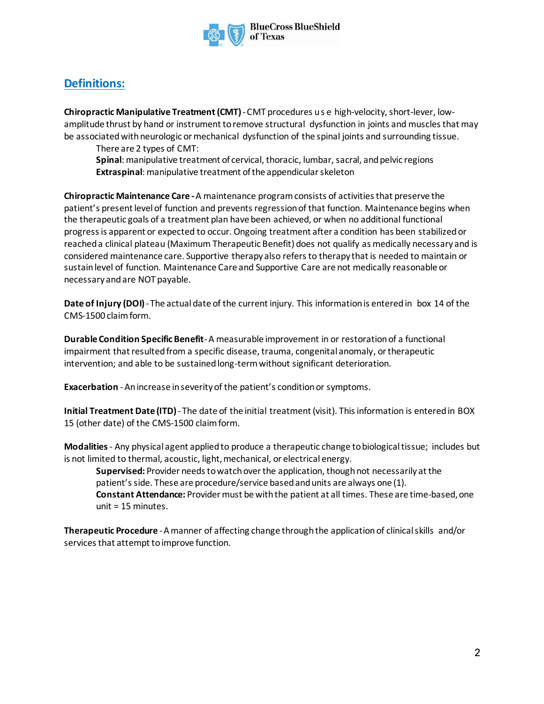

# **Definitions:**

**Chiropractic Manipulative Treatment (CMT)** - CMT procedures us e high-velocity, short-lever, lowamplitude thrust by hand or instrument toremove structural dysfunction in joints and musclesthat may be associated with neurologic or mechanical dysfunction of the spinal joints and surrounding tissue.

There are 2 types of CMT:

**Spinal**: manipulative treatment of cervical, thoracic, lumbar, sacral, and pelvic regions **Extraspinal:** manipulative treatment of the appendicular skeleton

**Chiropractic Maintenance Care -**A maintenance program consists of activities that preserve the patient's present level of function and prevents regression of that function. Maintenance begins when the therapeutic goals of a treatment plan have been achieved, or when no additional functional progress is apparent or expected to occur. Ongoing treatment after a condition has been stabilized or reached a clinical plateau (Maximum Therapeutic Benefit) does not qualify as medically necessary and is considered maintenance care. Supportive therapy also refers to therapy that is needed to maintain or sustain level of function. Maintenance Care and Supportive Care are not medically reasonable or necessary andare NOT payable.

**Date of Injury (DOI)**-The actual date of the current injury. This informationis enteredin box 14 of the CMS-1500 claim form.

**Durable Condition Specific Benefit**-A measurable improvement in or restoration of a functional impairment that resulted from a specific disease, trauma, congenital anomaly, or therapeutic intervention; and able to be sustained long-term without significant deterioration.

**Exacerbation** -Anincrease inseverityof the patient's conditionor symptoms.

**Initial Treatment Date (ITD)**- The date of the initial treatment (visit). This information is entered in BOX 15 (other date) of the CMS-1500 claim form.

**Modalities**- Any physical agent applied to produce a therapeutic change to biologicaltissue; includes but is not limited to thermal, acoustic, light, mechanical, or electrical energy.

**Supervised:** Provider needs to watch over the application, though not necessarily at the patient'sside. These are procedure/service basedandunits are always one (1). **Constant Attendance:** Provider must be with the patient at all times. These are time-based, one unit = 15 minutes.

**Therapeutic Procedure** -Amanner of affecting change throughthe applicationof clinicalskills and/or services that attempt to improve function.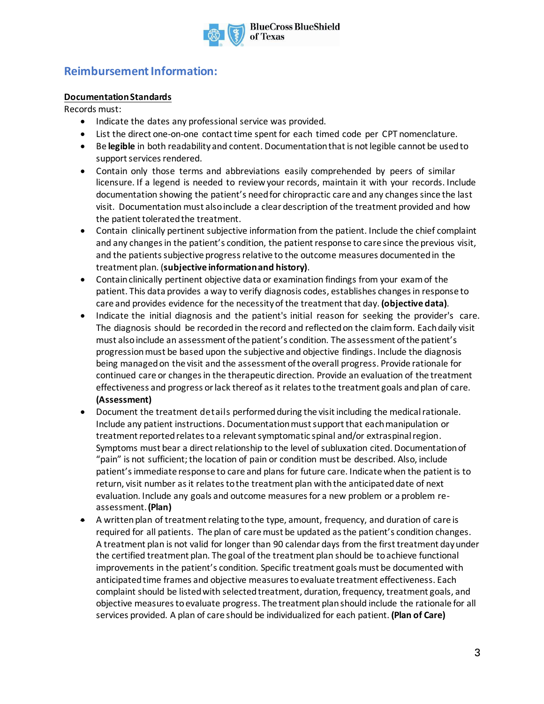

## **Reimbursement Information:**

## **Documentation Standards**

Records must:

- Indicate the dates any professional service was provided.
- List the direct one-on-one contact time spent for each timed code per CPT nomenclature.
- Be **legible** in both readability and content. Documentation that is not legible cannot be used to support services rendered.
- Contain only those terms and abbreviations easily comprehended by peers of similar licensure. If a legend is needed to review your records, maintain it with your records. Include documentation showing the patient's need for chiropractic care and any changes since the last visit. Documentation must also include a clear description of the treatment provided and how the patient tolerated the treatment.
- Contain clinically pertinent subjective information from the patient. Include the chief complaint and any changes in the patient's condition, the patient response to care since the previous visit, and the patients subjective progress relative to the outcome measures documentedin the treatment plan. (**subjective information and history)**.
- Contain clinically pertinent objective data or examination findings from your exam of the patient. This data provides a way to verify diagnosis codes, establishes changes in response to care and provides evidence for the necessity of the treatment that day. **(objective data)**.
- Indicate the initial diagnosis and the patient's initial reason for seeking the provider's care. The diagnosis should be recorded in the record and reflected on the claim form. Each daily visit must also include an assessment of the patient's condition. The assessment of the patient's progressionmust be based upon the subjective and objective findings. Include the diagnosis being managed on the visit and the assessment of the overall progress. Provide rationale for continued care or changes in the therapeutic direction. Provide an evaluation of the treatment effectiveness and progress or lack thereof as it relates to the treatment goals and plan of care. **(Assessment)**
- Document the treatment details performed during the visit including the medical rationale. Include any patient instructions. Documentation must support that each manipulation or treatment reported relates to a relevant symptomatic spinal and/or extraspinal region. Symptoms must bear a direct relationship to the level of subluxation cited. Documentation of "pain" is not sufficient; the location of pain or condition must be described. Also, include patient's immediate response to care and plans for future care. Indicate when the patient is to return, visit number as it relates to the treatment plan with the anticipated date of next evaluation. Include any goals and outcome measures for a new problem or a problem reassessment. **(Plan)**
- A written plan of treatment relating to the type, amount, frequency, and duration of care is required for all patients. The plan of care must be updated as the patient's condition changes. A treatment plan is not valid for longer than 90 calendar days from the first treatment day under the certified treatment plan. The goal of the treatment plan should be to achieve functional improvements in the patient's condition. Specific treatment goals must be documented with anticipated time frames and objective measures to evaluate treatment effectiveness. Each complaint should be listed with selected treatment, duration, frequency, treatment goals, and objective measures to evaluate progress. The treatment plan should include the rationale for all services provided. A plan of care should be individualized for each patient. **(Plan of Care)**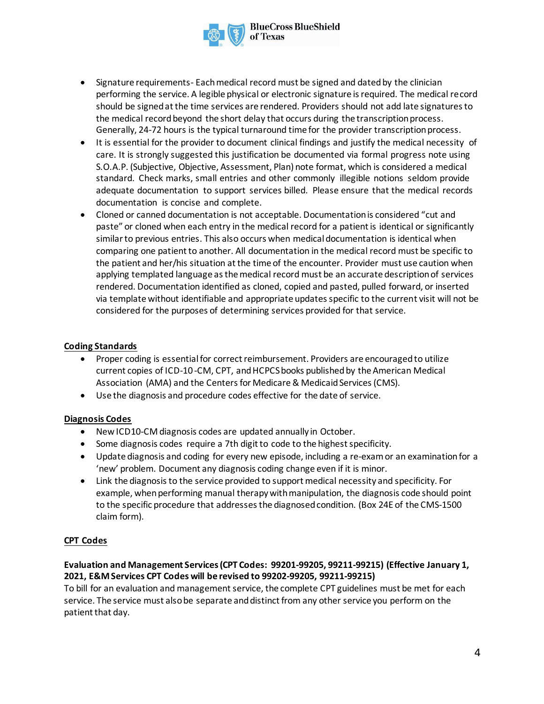

- Signature requirements- Each medical record must be signed and dated by the clinician performing the service. A legible physical or electronic signature is required. The medical record should be signed at the time services are rendered. Providers should not add late signatures to the medical record beyond the short delay that occurs during the transcription process. Generally, 24-72 hours is the typical turnaround time for the provider transcription process.
- It is essential for the provider to document clinical findings and justify the medical necessity of care. It is strongly suggested this justification be documented via formal progress note using S.O.A.P. (Subjective, Objective, Assessment, Plan) note format, which is considered a medical standard. Check marks, small entries and other commonly illegible notions seldom provide adequate documentation to support services billed. Please ensure that the medical records documentation is concise and complete.
- Cloned or canned documentation is not acceptable. Documentation is considered "cut and paste" or cloned when each entry in the medical record for a patient is identical or significantly similar to previous entries. This also occurs when medical documentation is identical when comparing one patient to another. All documentation in the medical record must be specific to the patient and her/his situation at the time of the encounter. Provider must use caution when applying templated language as the medical record must be an accurate description of services rendered. Documentation identified as cloned, copied and pasted, pulled forward, or inserted via template without identifiable and appropriate updates specific to the current visit will not be considered for the purposes of determining services provided for that service.

#### **Coding Standards**

- Proper coding is essential for correct reimbursement. Providers are encouraged to utilize current copies of ICD-10-CM, CPT, and HCPCS books published by the American Medical Association (AMA) and the Centers for Medicare & Medicaid Services (CMS).
- Use the diagnosis and procedure codes effective for the date of service.

#### **Diagnosis Codes**

- New ICD10-CM diagnosis codes are updated annually in October.
- Some diagnosis codes require a 7th digit to code to the highest specificity.
- Update diagnosis and coding for every new episode, including a re-examor an examinationfor a 'new' problem. Document any diagnosis coding change even if it is minor.
- Link the diagnosisto the service provided to support medical necessity and specificity. For example, when performing manual therapy with manipulation, the diagnosis code should point to the specific procedure that addresses the diagnosed condition. (Box 24E of the CMS-1500 claim form).

#### **CPT Codes**

## **Evaluation and Management Services(CPT Codes: 99201-99205, 99211-99215) (Effective January 1, 2021, E&M Services CPT Codes will be revised to 99202-99205, 99211-99215)**

To bill for an evaluation and management service, the complete CPT guidelines must be met for each service. The service must also be separate and distinct from any other service you perform on the patient that day.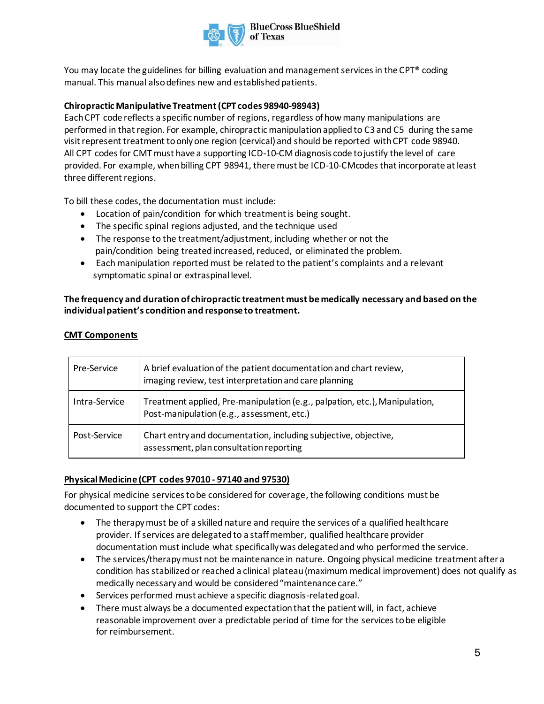

You may locate the guidelines for billing evaluation and management services in the CPT® coding manual. This manual also defines new and established patients.

## **Chiropractic Manipulative Treatment (CPT codes 98940-98943)**

Each CPT code reflects a specific number of regions, regardless ofhowmany manipulations are performed in that region. For example, chiropractic manipulation applied to C3 and C5 during the same visitrepresent treatment to onlyone region (cervical) and should be reported with CPT code 98940. All CPT codes for CMT must have a supporting ICD-10-CM diagnosis code to justify the level of care provided. For example, when billing CPT 98941, there must be ICD-10-CMcodes that incorporate at least three different regions.

To bill these codes, the documentation must include:

- Location of pain/condition for which treatment is being sought.
- The specific spinal regions adjusted, and the technique used
- The response to the treatment/adjustment, including whether or not the pain/condition being treated increased, reduced, or eliminated the problem.
- Each manipulation reported must be related to the patient's complaints and a relevant symptomatic spinal or extraspinal level.

## **The frequency and duration of chiropractic treatment must be medically necessary and based on the individual patient's condition and response to treatment.**

#### **CMT Components**

| Pre-Service   | A brief evaluation of the patient documentation and chart review,<br>imaging review, test interpretation and care planning |
|---------------|----------------------------------------------------------------------------------------------------------------------------|
| Intra-Service | Treatment applied, Pre-manipulation (e.g., palpation, etc.), Manipulation,<br>Post-manipulation (e.g., assessment, etc.)   |
| Post-Service  | Chart entry and documentation, including subjective, objective,<br>assessment, plan consultation reporting                 |

## **Physical Medicine (CPT codes 97010 - 97140 and 97530)**

For physical medicine services to be considered for coverage, the following conditions must be documented to support the CPT codes:

- The therapy must be of a skilled nature and require the services of a qualified healthcare provider. If services are delegated to a staff member, qualified healthcare provider documentation must include what specifically was delegated and who performed the service.
- The services/therapy must not be maintenance in nature. Ongoing physical medicine treatment after a condition has stabilized or reached a clinical plateau (maximum medical improvement) does not qualify as medically necessary and would be considered "maintenance care."
- Services performed must achieve a specific diagnosis-related goal.
- There must always be a documented expectation that the patient will, in fact, achieve reasonable improvement over a predictable period of time for the services to be eligible for reimbursement.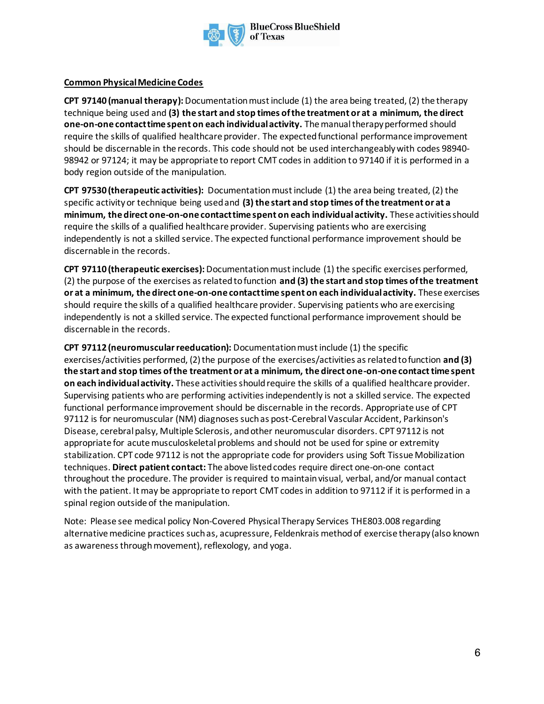

## **Common Physical Medicine Codes**

**CPT 97140 (manual therapy):** Documentation must include (1) the area being treated, (2) the therapy technique being used and **(3) the start and stop times of the treatment or at a minimum, the direct one-on-one contact time spent on each individual activity.** The manual therapy performed should require the skills of qualified healthcare provider. The expected functional performance improvement should be discernable in the records. This code should not be used interchangeably with codes 98940- 98942 or 97124; it may be appropriate to report CMT codes in addition to 97140 if it is performed in a body region outside of the manipulation.

**CPT 97530 (therapeutic activities):** Documentationmust include (1) the area being treated, (2) the specific activity or technique being used and **(3) the start and stop times of the treatment or at a minimum, the direct one-on-one contact time spent on each individual activity.** These activities should require the skills of a qualified healthcare provider. Supervising patients who are exercising independently is not a skilled service. The expected functional performance improvement should be discernable in the records.

**CPT 97110 (therapeutic exercises):**Documentation must include (1) the specific exercises performed, (2) the purpose of the exercises as related to function **and (3) the start and stop times of the treatment or at a minimum, the direct one-on-one contact time spent on each individual activity.** These exercises should require the skills of a qualified healthcare provider. Supervising patients who are exercising independently is not a skilled service. The expected functional performance improvement should be discernable in the records.

**CPT 97112 (neuromuscular reeducation):** Documentation must include (1) the specific exercises/activities performed, (2) the purpose of the exercises/activities as related to function **and (3) the start and stop times of the treatment or at a minimum, the direct one-on-one contact time spent on each individual activity.** These activities should require the skills of a qualified healthcare provider. Supervising patients who are performing activities independently is not a skilled service. The expected functional performance improvement should be discernable in the records. Appropriate use of CPT 97112 is for neuromuscular (NM) diagnoses such as post-Cerebral Vascular Accident, Parkinson's Disease, cerebral palsy, Multiple Sclerosis, and other neuromuscular disorders. CPT 97112 is not appropriate for acute musculoskeletal problems and should not be used for spine or extremity stabilization. CPT code 97112 is not the appropriate code for providers using Soft Tissue Mobilization techniques. **Direct patient contact:** The above listed codes require direct one-on-one contact throughout the procedure. The provider is required to maintain visual, verbal, and/or manual contact with the patient. It may be appropriate to report CMT codes in addition to 97112 if it is performed in a spinal region outside of the manipulation.

Note: Please see medical policy Non-Covered Physical Therapy Services THE803.008 regarding alternative medicine practices such as, acupressure, Feldenkrais method of exercise therapy (also known as awareness through movement), reflexology, and yoga.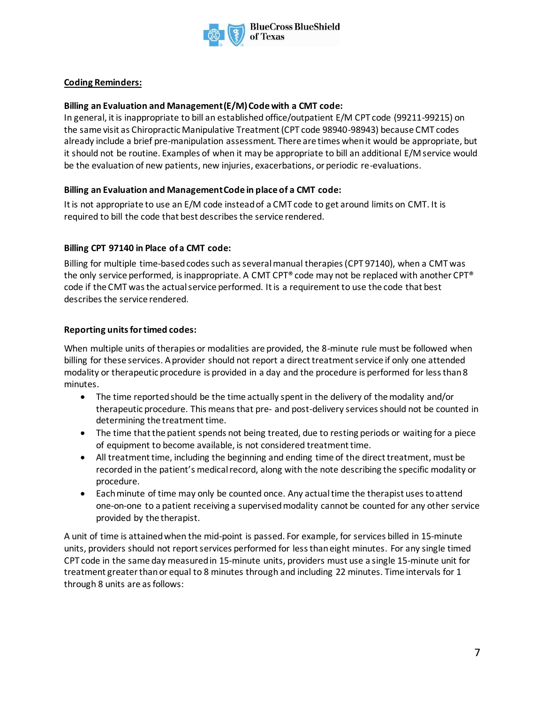

## **Coding Reminders:**

#### **Billing an Evaluation and Management (E/M) Code with a CMT code:**

In general, it is inappropriate to bill an established office/outpatient E/M CPT code (99211-99215) on the same visit as Chiropractic Manipulative Treatment (CPT code 98940-98943) because CMT codes already include a brief pre-manipulation assessment. There are times when it would be appropriate, but it should not be routine. Examples of when it may be appropriate to bill an additional E/M service would be the evaluation of new patients, new injuries, exacerbations, or periodic re-evaluations.

#### **Billing an Evaluation and Management Code in place of a CMT code:**

It is not appropriate to use an E/M code instead of a CMT code to get around limits on CMT. It is required to bill the code that best describes the service rendered.

## **Billing CPT 97140 in Place of a CMT code:**

Billing for multiple time-based codes such as several manual therapies (CPT 97140), when a CMT was the only service performed, is inappropriate. A CMT CPT® code may not be replaced with another CPT® code if the CMT was the actual service performed. It is a requirement to use the code that best describes the service rendered.

## **Reporting units for timed codes:**

When multiple units of therapies or modalities are provided, the 8-minute rule must be followed when billing for these services. A provider should not report a direct treatment service if only one attended modality or therapeutic procedure is provided in a day and the procedure is performed for less than 8 minutes.

- The time reported should be the time actually spent in the delivery of the modality and/or therapeutic procedure. This means that pre- and post-delivery services should not be counted in determining the treatment time.
- The time that the patient spends not being treated, due to resting periods or waiting for a piece of equipment to become available, is not considered treatment time.
- All treatment time, including the beginning and ending time of the direct treatment, must be recorded in the patient's medical record, along with the note describing the specific modality or procedure.
- Each minute of time may only be counted once. Any actual time the therapist uses to attend one-on-one to a patient receiving a supervised modality cannot be counted for any other service provided by the therapist.

A unit of time is attained when the mid-point is passed. For example, for services billed in 15-minute units, providers should not report services performed for less than eight minutes. For any single timed CPT code in the same day measured in 15-minute units, providers must use a single 15-minute unit for treatment greater than or equal to 8 minutes through and including 22 minutes. Time intervals for 1 through 8 units are as follows: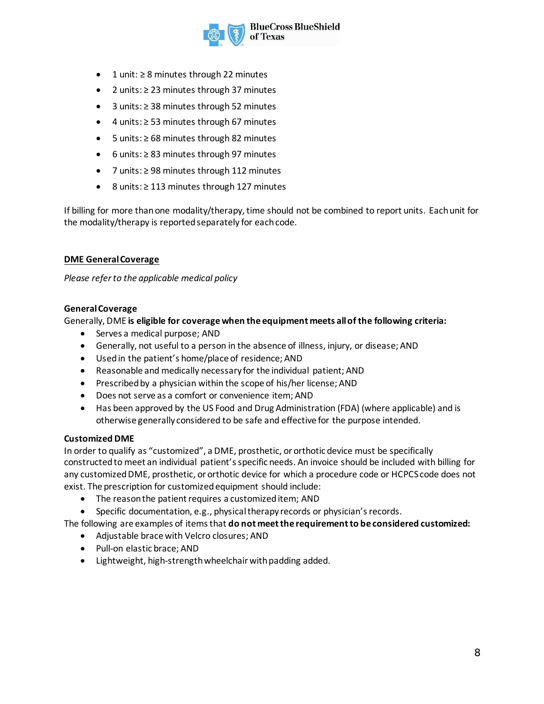

- 1 unit: ≥ 8 minutes through 22 minutes
- 2 units: ≥ 23 minutes through 37 minutes
- 3 units: ≥ 38 minutes through 52 minutes
- 4 units: ≥ 53 minutes through 67 minutes
- 5 units: ≥ 68 minutes through 82 minutes
- 6 units: ≥ 83 minutes through 97 minutes
- 7 units: ≥ 98 minutes through 112 minutes
- 8 units: ≥ 113 minutes through 127 minutes

If billing for more than one modality/therapy, time should not be combined to report units. Each unit for the modality/therapy is reported separately for each code.

#### **DME General Coverage**

*Please refer to the applicable medical policy*

#### **General Coverage**

Generally, DME **is eligible for coverage when the equipment meets all of the following criteria:**

- Serves a medical purpose; AND
- Generally, not useful to a person in the absence of illness, injury, or disease; AND
- Used in the patient's home/place of residence; AND
- Reasonable and medically necessary for the individual patient; AND
- Prescribed by a physician within the scope of his/her license; AND
- Does not serve as a comfort or convenience item; AND
- Has been approved by the US Food and Drug Administration (FDA) (where applicable) and is otherwise generally considered to be safe and effective for the purpose intended.

#### **Customized DME**

In order to qualify as "customized", a DME, prosthetic, or orthotic device must be specifically constructed to meet an individual patient's specific needs. An invoice should be included with billing for any customized DME, prosthetic, or orthotic device for which a procedure code or HCPCS code does not exist. The prescription for customized equipment should include:

- The reason the patient requires a customized item; AND
- Specific documentation, e.g., physical therapy records or physician's records.

The following are examples of items that **do not meet the requirement to be considered customized:**

- Adjustable brace with Velcro closures; AND
- Pull-on elastic brace; AND
- Lightweight, high-strength wheelchair with padding added.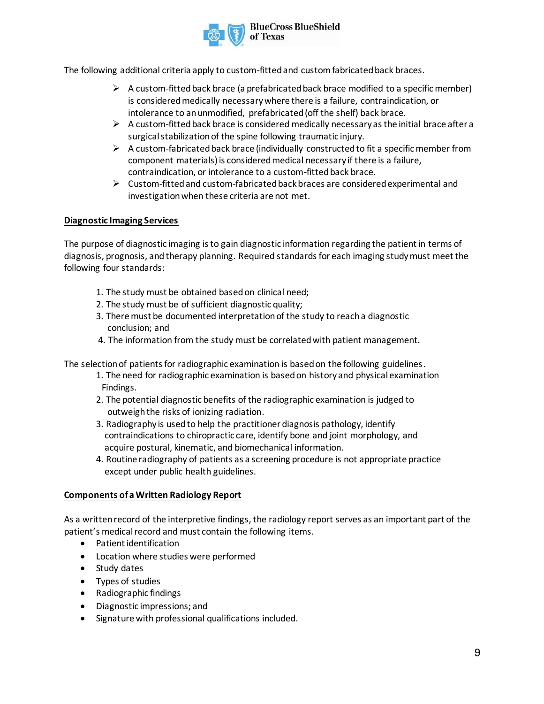

The following additional criteria apply to custom-fitted and custom fabricated back braces.

- $\triangleright$  A custom-fitted back brace (a prefabricated back brace modified to a specific member) is considered medically necessary where there is a failure, contraindication, or intolerance to an unmodified, prefabricated (off the shelf) back brace.
- $\triangleright$  A custom-fitted back brace is considered medically necessary as the initial brace after a surgical stabilization of the spine following traumatic injury.
- $\triangleright$  A custom-fabricated back brace (individually constructed to fit a specific member from component materials) is considered medical necessary if there is a failure, contraindication, or intolerance to a custom-fitted back brace.
- ➢ Custom-fitted and custom-fabricated back braces are considered experimental and investigation when these criteria are not met.

## **Diagnostic Imaging Services**

The purpose of diagnostic imaging is to gain diagnostic information regarding the patient in terms of diagnosis, prognosis, and therapy planning. Required standards for each imaging study must meet the following four standards:

- 1. The study must be obtained based on clinical need;
- 2. The study must be of sufficient diagnostic quality;
- 3. There must be documented interpretation of the study to reach a diagnostic conclusion; and
- 4. The information from the study must be correlated with patient management.

The selection of patients for radiographic examination is based on the following guidelines.

- 1. The need for radiographic examination is based on history and physical examination Findings.
- 2. The potential diagnostic benefits of the radiographic examination is judged to outweigh the risks of ionizing radiation.
- 3. Radiography is used to help the practitioner diagnosis pathology, identify contraindications to chiropractic care, identify bone and joint morphology, and acquire postural, kinematic, and biomechanical information.
- 4. Routine radiography of patients as a screening procedure is not appropriate practice except under public health guidelines.

#### **Components of a Written Radiology Report**

As a written record of the interpretive findings, the radiology report serves as an important part of the patient's medical record and must contain the following items.

- Patient identification
- Location where studies were performed
- Study dates
- Types of studies
- Radiographic findings
- Diagnostic impressions; and
- Signature with professional qualifications included.